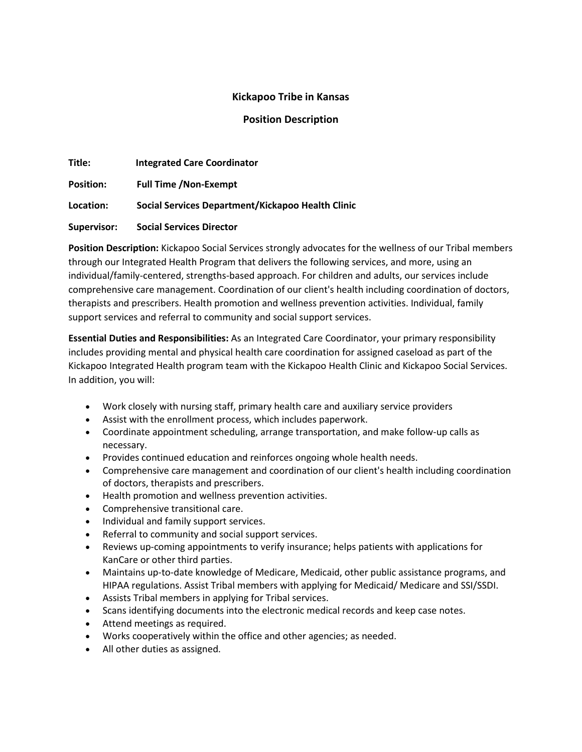# **Kickapoo Tribe in Kansas**

## **Position Description**

| Title:             | <b>Integrated Care Coordinator</b>                |
|--------------------|---------------------------------------------------|
| <b>Position:</b>   | <b>Full Time /Non-Exempt</b>                      |
| Location:          | Social Services Department/Kickapoo Health Clinic |
| <b>Supervisor:</b> | <b>Social Services Director</b>                   |

**Position Description:** Kickapoo Social Services strongly advocates for the wellness of our Tribal members through our Integrated Health Program that delivers the following services, and more, using an individual/family-centered, strengths-based approach. For children and adults, our services include comprehensive care management. Coordination of our client's health including coordination of doctors, therapists and prescribers. Health promotion and wellness prevention activities. Individual, family support services and referral to community and social support services.

**Essential Duties and Responsibilities:** As an Integrated Care Coordinator, your primary responsibility includes providing mental and physical health care coordination for assigned caseload as part of the Kickapoo Integrated Health program team with the Kickapoo Health Clinic and Kickapoo Social Services. In addition, you will:

- Work closely with nursing staff, primary health care and auxiliary service providers
- Assist with the enrollment process, which includes paperwork.
- Coordinate appointment scheduling, arrange transportation, and make follow-up calls as necessary.
- Provides continued education and reinforces ongoing whole health needs.
- Comprehensive care management and coordination of our client's health including coordination of doctors, therapists and prescribers.
- Health promotion and wellness prevention activities.
- Comprehensive transitional care.
- Individual and family support services.
- Referral to community and social support services.
- Reviews up-coming appointments to verify insurance; helps patients with applications for KanCare or other third parties.
- Maintains up-to-date knowledge of Medicare, Medicaid, other public assistance programs, and HIPAA regulations. Assist Tribal members with applying for Medicaid/ Medicare and SSI/SSDI.
- Assists Tribal members in applying for Tribal services.
- Scans identifying documents into the electronic medical records and keep case notes.
- Attend meetings as required.
- Works cooperatively within the office and other agencies; as needed.
- All other duties as assigned.